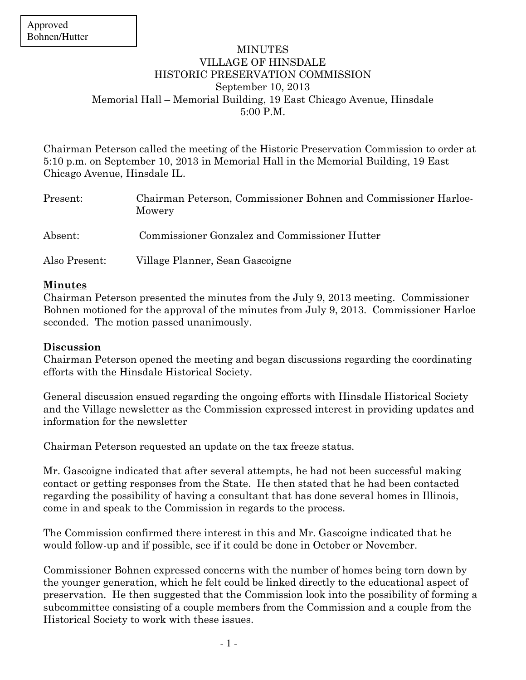$\overline{a}$ 

## MINUTES VILLAGE OF HINSDALE HISTORIC PRESERVATION COMMISSION September 10, 2013 Memorial Hall – Memorial Building, 19 East Chicago Avenue, Hinsdale 5:00 P.M.

Chairman Peterson called the meeting of the Historic Preservation Commission to order at 5:10 p.m. on September 10, 2013 in Memorial Hall in the Memorial Building, 19 East Chicago Avenue, Hinsdale IL.

| Present:      | Chairman Peterson, Commissioner Bohnen and Commissioner Harloe-<br>Mowery |
|---------------|---------------------------------------------------------------------------|
| Absent:       | Commissioner Gonzalez and Commissioner Hutter                             |
| Also Present: | Village Planner, Sean Gascoigne                                           |

## Minutes

Chairman Peterson presented the minutes from the July 9, 2013 meeting. Commissioner Bohnen motioned for the approval of the minutes from July 9, 2013. Commissioner Harloe seconded. The motion passed unanimously.

## Discussion

Chairman Peterson opened the meeting and began discussions regarding the coordinating efforts with the Hinsdale Historical Society.

General discussion ensued regarding the ongoing efforts with Hinsdale Historical Society and the Village newsletter as the Commission expressed interest in providing updates and information for the newsletter

Chairman Peterson requested an update on the tax freeze status.

Mr. Gascoigne indicated that after several attempts, he had not been successful making contact or getting responses from the State. He then stated that he had been contacted regarding the possibility of having a consultant that has done several homes in Illinois, come in and speak to the Commission in regards to the process.

The Commission confirmed there interest in this and Mr. Gascoigne indicated that he would follow-up and if possible, see if it could be done in October or November.

Commissioner Bohnen expressed concerns with the number of homes being torn down by the younger generation, which he felt could be linked directly to the educational aspect of preservation. He then suggested that the Commission look into the possibility of forming a subcommittee consisting of a couple members from the Commission and a couple from the Historical Society to work with these issues.